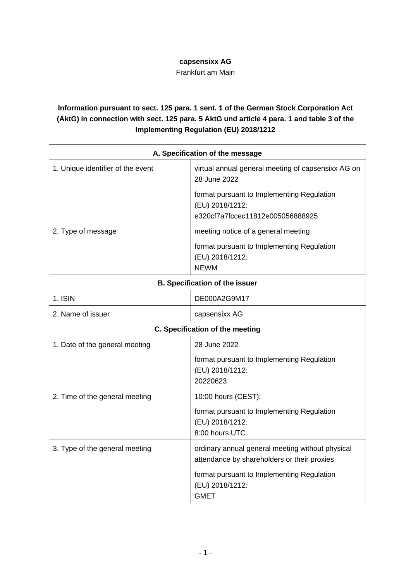## **capsensixx AG**

Frankfurt am Main

## **Information pursuant to sect. 125 para. 1 sent. 1 of the German Stock Corporation Act (AktG) in connection with sect. 125 para. 5 AktG und article 4 para. 1 and table 3 of the Implementing Regulation (EU) 2018/1212**

|                                       | A. Specification of the message                                                                   |  |
|---------------------------------------|---------------------------------------------------------------------------------------------------|--|
| 1. Unique identifier of the event     | virtual annual general meeting of capsensixx AG on<br>28 June 2022                                |  |
|                                       | format pursuant to Implementing Regulation<br>(EU) 2018/1212:<br>e320cf7a7fccec11812e005056888925 |  |
| 2. Type of message                    | meeting notice of a general meeting                                                               |  |
|                                       | format pursuant to Implementing Regulation<br>(EU) 2018/1212:<br><b>NEWM</b>                      |  |
| <b>B. Specification of the issuer</b> |                                                                                                   |  |
| 1. ISIN                               | DE000A2G9M17                                                                                      |  |
| 2. Name of issuer                     | capsensixx AG                                                                                     |  |
| C. Specification of the meeting       |                                                                                                   |  |
| 1. Date of the general meeting        | 28 June 2022                                                                                      |  |
|                                       | format pursuant to Implementing Regulation<br>(EU) 2018/1212:<br>20220623                         |  |
| 2. Time of the general meeting        | 10:00 hours (CEST);                                                                               |  |
|                                       | format pursuant to Implementing Regulation<br>(EU) 2018/1212:<br>8:00 hours UTC                   |  |
| 3. Type of the general meeting        | ordinary annual general meeting without physical<br>attendance by shareholders or their proxies   |  |
|                                       | format pursuant to Implementing Regulation<br>(EU) 2018/1212:<br><b>GMET</b>                      |  |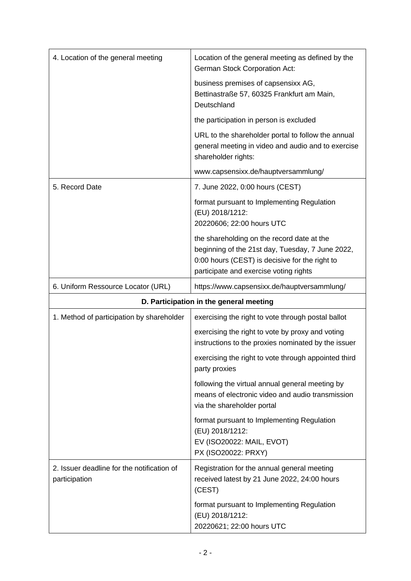| 4. Location of the general meeting                          | Location of the general meeting as defined by the<br><b>German Stock Corporation Act:</b>                                                                                                  |
|-------------------------------------------------------------|--------------------------------------------------------------------------------------------------------------------------------------------------------------------------------------------|
|                                                             | business premises of capsensixx AG,<br>Bettinastraße 57, 60325 Frankfurt am Main,<br>Deutschland                                                                                           |
|                                                             | the participation in person is excluded                                                                                                                                                    |
|                                                             | URL to the shareholder portal to follow the annual<br>general meeting in video and audio and to exercise<br>shareholder rights:                                                            |
|                                                             | www.capsensixx.de/hauptversammlung/                                                                                                                                                        |
| 5. Record Date                                              | 7. June 2022, 0:00 hours (CEST)                                                                                                                                                            |
|                                                             | format pursuant to Implementing Regulation<br>(EU) 2018/1212:<br>20220606; 22:00 hours UTC                                                                                                 |
|                                                             | the shareholding on the record date at the<br>beginning of the 21st day, Tuesday, 7 June 2022,<br>0:00 hours (CEST) is decisive for the right to<br>participate and exercise voting rights |
| 6. Uniform Ressource Locator (URL)                          | https://www.capsensixx.de/hauptversammlung/                                                                                                                                                |
|                                                             | D. Participation in the general meeting                                                                                                                                                    |
| 1. Method of participation by shareholder                   | exercising the right to vote through postal ballot                                                                                                                                         |
|                                                             | exercising the right to vote by proxy and voting<br>instructions to the proxies nominated by the issuer                                                                                    |
|                                                             | exercising the right to vote through appointed third<br>party proxies                                                                                                                      |
|                                                             |                                                                                                                                                                                            |
|                                                             | following the virtual annual general meeting by<br>means of electronic video and audio transmission<br>via the shareholder portal                                                          |
|                                                             | format pursuant to Implementing Regulation<br>(EU) 2018/1212:<br>EV (ISO20022: MAIL, EVOT)<br>PX (ISO20022: PRXY)                                                                          |
| 2. Issuer deadline for the notification of<br>participation | Registration for the annual general meeting<br>received latest by 21 June 2022, 24:00 hours<br>(CEST)                                                                                      |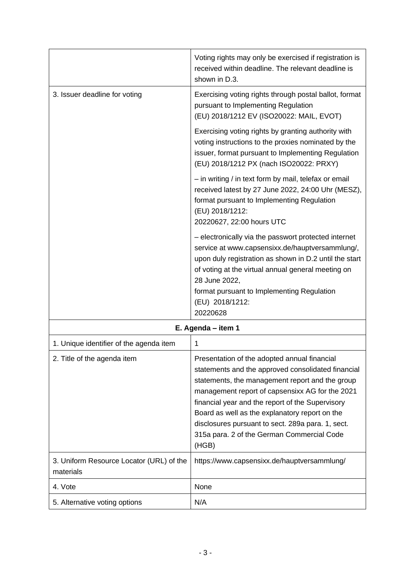|                                                       | Voting rights may only be exercised if registration is<br>received within deadline. The relevant deadline is<br>shown in D.3.                                                                                                                                                                                                                                                                                              |
|-------------------------------------------------------|----------------------------------------------------------------------------------------------------------------------------------------------------------------------------------------------------------------------------------------------------------------------------------------------------------------------------------------------------------------------------------------------------------------------------|
| 3. Issuer deadline for voting                         | Exercising voting rights through postal ballot, format<br>pursuant to Implementing Regulation<br>(EU) 2018/1212 EV (ISO20022: MAIL, EVOT)                                                                                                                                                                                                                                                                                  |
|                                                       | Exercising voting rights by granting authority with<br>voting instructions to the proxies nominated by the<br>issuer, format pursuant to Implementing Regulation<br>(EU) 2018/1212 PX (nach ISO20022: PRXY)                                                                                                                                                                                                                |
|                                                       | - in writing / in text form by mail, telefax or email<br>received latest by 27 June 2022, 24:00 Uhr (MESZ),<br>format pursuant to Implementing Regulation<br>(EU) 2018/1212:<br>20220627, 22:00 hours UTC                                                                                                                                                                                                                  |
|                                                       | - electronically via the passwort protected internet<br>service at www.capsensixx.de/hauptversammlung/,<br>upon duly registration as shown in D.2 until the start<br>of voting at the virtual annual general meeting on<br>28 June 2022,<br>format pursuant to Implementing Regulation<br>(EU) 2018/1212:<br>20220628                                                                                                      |
|                                                       | E. Agenda - item 1                                                                                                                                                                                                                                                                                                                                                                                                         |
| 1. Unique identifier of the agenda item               | 1                                                                                                                                                                                                                                                                                                                                                                                                                          |
| 2. Title of the agenda item                           | Presentation of the adopted annual financial<br>statements and the approved consolidated financial<br>statements, the management report and the group<br>management report of capsensixx AG for the 2021<br>financial year and the report of the Supervisory<br>Board as well as the explanatory report on the<br>disclosures pursuant to sect. 289a para. 1, sect.<br>315a para. 2 of the German Commercial Code<br>(HGB) |
| 3. Uniform Resource Locator (URL) of the<br>materials | https://www.capsensixx.de/hauptversammlung/                                                                                                                                                                                                                                                                                                                                                                                |
| 4. Vote                                               | None                                                                                                                                                                                                                                                                                                                                                                                                                       |
| 5. Alternative voting options                         | N/A                                                                                                                                                                                                                                                                                                                                                                                                                        |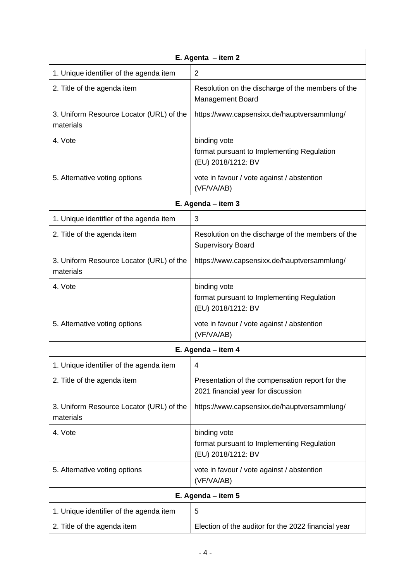| E. Agenta $-$ item 2                                  |                                                                                       |  |
|-------------------------------------------------------|---------------------------------------------------------------------------------------|--|
| 1. Unique identifier of the agenda item               | 2                                                                                     |  |
| 2. Title of the agenda item                           | Resolution on the discharge of the members of the<br><b>Management Board</b>          |  |
| 3. Uniform Resource Locator (URL) of the<br>materials | https://www.capsensixx.de/hauptversammlung/                                           |  |
| 4. Vote                                               | binding vote<br>format pursuant to Implementing Regulation<br>(EU) 2018/1212: BV      |  |
| 5. Alternative voting options                         | vote in favour / vote against / abstention<br>(VF/VA/AB)                              |  |
| E. Agenda - item 3                                    |                                                                                       |  |
| 1. Unique identifier of the agenda item               | 3                                                                                     |  |
| 2. Title of the agenda item                           | Resolution on the discharge of the members of the<br><b>Supervisory Board</b>         |  |
| 3. Uniform Resource Locator (URL) of the<br>materials | https://www.capsensixx.de/hauptversammlung/                                           |  |
| 4. Vote                                               | binding vote<br>format pursuant to Implementing Regulation<br>(EU) 2018/1212: BV      |  |
| 5. Alternative voting options                         | vote in favour / vote against / abstention<br>(VF/VA/AB)                              |  |
| E. Agenda - item 4                                    |                                                                                       |  |
| 1. Unique identifier of the agenda item               | 4                                                                                     |  |
| 2. Title of the agenda item                           | Presentation of the compensation report for the<br>2021 financial year for discussion |  |
| 3. Uniform Resource Locator (URL) of the<br>materials | https://www.capsensixx.de/hauptversammlung/                                           |  |
| 4. Vote                                               | binding vote<br>format pursuant to Implementing Regulation<br>(EU) 2018/1212: BV      |  |
| 5. Alternative voting options                         | vote in favour / vote against / abstention<br>(VF/VA/AB)                              |  |
| E. Agenda - item 5                                    |                                                                                       |  |
| 1. Unique identifier of the agenda item               | 5                                                                                     |  |
| 2. Title of the agenda item                           | Election of the auditor for the 2022 financial year                                   |  |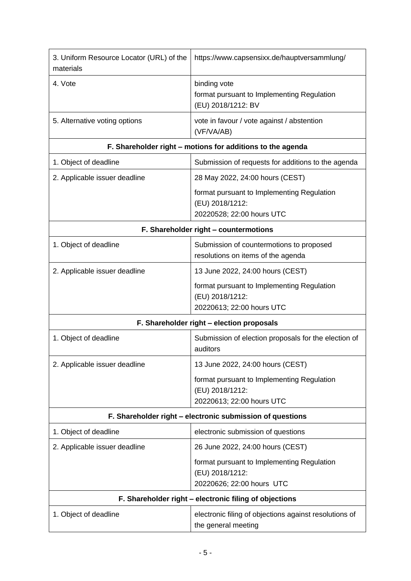| 3. Uniform Resource Locator (URL) of the<br>materials      | https://www.capsensixx.de/hauptversammlung/                                                |  |
|------------------------------------------------------------|--------------------------------------------------------------------------------------------|--|
| 4. Vote                                                    | binding vote<br>format pursuant to Implementing Regulation<br>(EU) 2018/1212: BV           |  |
| 5. Alternative voting options                              | vote in favour / vote against / abstention<br>(VF/VA/AB)                                   |  |
| F. Shareholder right - motions for additions to the agenda |                                                                                            |  |
| 1. Object of deadline                                      | Submission of requests for additions to the agenda                                         |  |
| 2. Applicable issuer deadline                              | 28 May 2022, 24:00 hours (CEST)                                                            |  |
|                                                            | format pursuant to Implementing Regulation<br>(EU) 2018/1212:<br>20220528; 22:00 hours UTC |  |
| F. Shareholder right - countermotions                      |                                                                                            |  |
| 1. Object of deadline                                      | Submission of countermotions to proposed<br>resolutions on items of the agenda             |  |
| 2. Applicable issuer deadline                              | 13 June 2022, 24:00 hours (CEST)                                                           |  |
|                                                            | format pursuant to Implementing Regulation<br>(EU) 2018/1212:<br>20220613; 22:00 hours UTC |  |
|                                                            | F. Shareholder right - election proposals                                                  |  |
| 1. Object of deadline                                      | Submission of election proposals for the election of<br>auditors                           |  |
| 2. Applicable issuer deadline                              | 13 June 2022, 24:00 hours (CEST)                                                           |  |
|                                                            | format pursuant to Implementing Regulation<br>(EU) 2018/1212:<br>20220613; 22:00 hours UTC |  |
| F. Shareholder right - electronic submission of questions  |                                                                                            |  |
| 1. Object of deadline                                      | electronic submission of questions                                                         |  |
| 2. Applicable issuer deadline                              | 26 June 2022, 24:00 hours (CEST)                                                           |  |
|                                                            | format pursuant to Implementing Regulation<br>(EU) 2018/1212:<br>20220626; 22:00 hours UTC |  |
| F. Shareholder right - electronic filing of objections     |                                                                                            |  |
| 1. Object of deadline                                      | electronic filing of objections against resolutions of<br>the general meeting              |  |